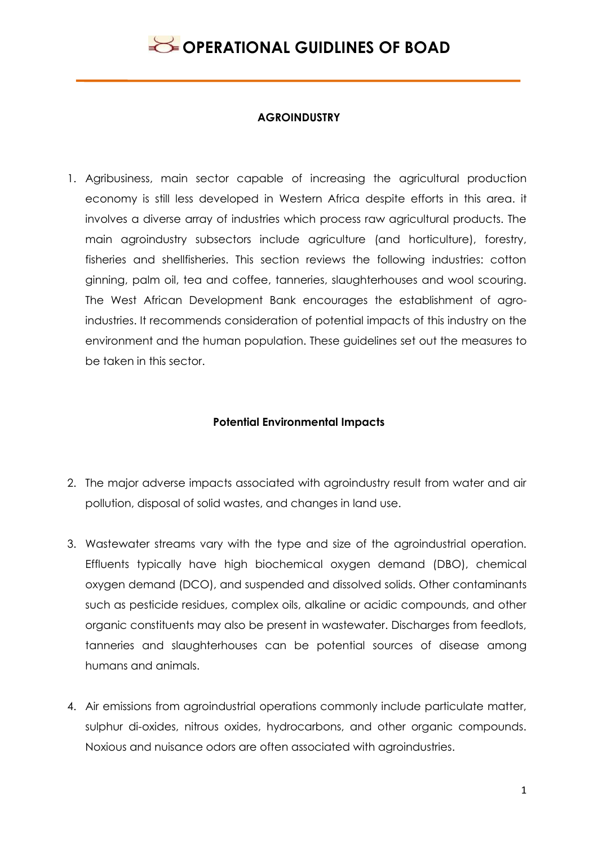

#### **AGROINDUSTRY**

1. Agribusiness, main sector capable of increasing the agricultural production economy is still less developed in Western Africa despite efforts in this area. it involves a diverse array of industries which process raw agricultural products. The main agroindustry subsectors include agriculture (and horticulture), forestry, fisheries and shellfisheries. This section reviews the following industries: cotton ginning, palm oil, tea and coffee, tanneries, slaughterhouses and wool scouring. The West African Development Bank encourages the establishment of agroindustries. It recommends consideration of potential impacts of this industry on the environment and the human population. These guidelines set out the measures to be taken in this sector.

#### **Potential Environmental Impacts**

- 2. The major adverse impacts associated with agroindustry result from water and air pollution, disposal of solid wastes, and changes in land use.
- 3. Wastewater streams vary with the type and size of the agroindustrial operation. Effluents typically have high biochemical oxygen demand (DBO), chemical oxygen demand (DCO), and suspended and dissolved solids. Other contaminants such as pesticide residues, complex oils, alkaline or acidic compounds, and other organic constituents may also be present in wastewater. Discharges from feedlots, tanneries and slaughterhouses can be potential sources of disease among humans and animals.
- 4. Air emissions from agroindustrial operations commonly include particulate matter, sulphur di-oxides, nitrous oxides, hydrocarbons, and other organic compounds. Noxious and nuisance odors are often associated with agroindustries.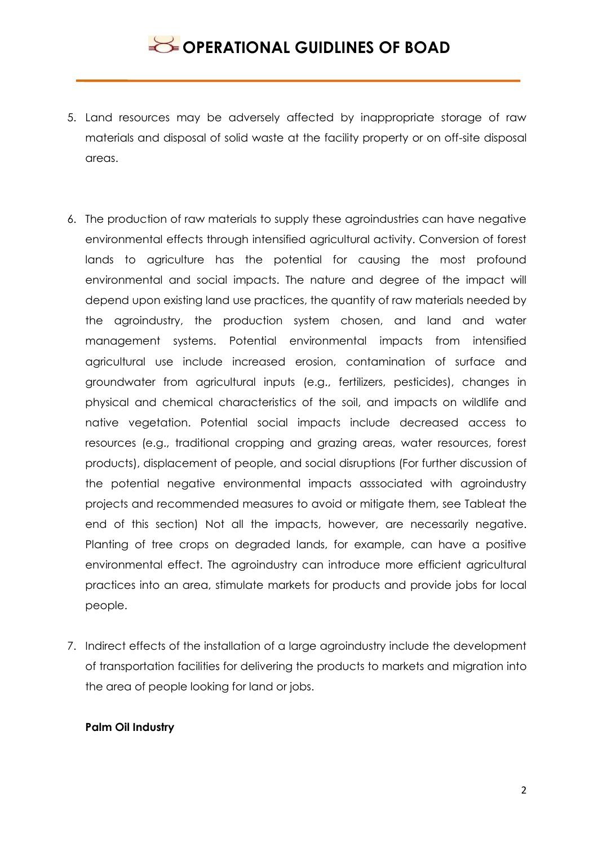- 5. Land resources may be adversely affected by inappropriate storage of raw materials and disposal of solid waste at the facility property or on off-site disposal areas.
- 6. The production of raw materials to supply these agroindustries can have negative environmental effects through intensified agricultural activity. Conversion of forest lands to agriculture has the potential for causing the most profound environmental and social impacts. The nature and degree of the impact will depend upon existing land use practices, the quantity of raw materials needed by the agroindustry, the production system chosen, and land and water management systems. Potential environmental impacts from intensified agricultural use include increased erosion, contamination of surface and groundwater from agricultural inputs (e.g., fertilizers, pesticides), changes in physical and chemical characteristics of the soil, and impacts on wildlife and native vegetation. Potential social impacts include decreased access to resources (e.g., traditional cropping and grazing areas, water resources, forest products), displacement of people, and social disruptions (For further discussion of the potential negative environmental impacts asssociated with agroindustry projects and recommended measures to avoid or mitigate them, see Tableat the end of this section) Not all the impacts, however, are necessarily negative. Planting of tree crops on degraded lands, for example, can have a positive environmental effect. The agroindustry can introduce more efficient agricultural practices into an area, stimulate markets for products and provide jobs for local people.
- 7. Indirect effects of the installation of a large agroindustry include the development of transportation facilities for delivering the products to markets and migration into the area of people looking for land or jobs.

#### **Palm Oil Industry**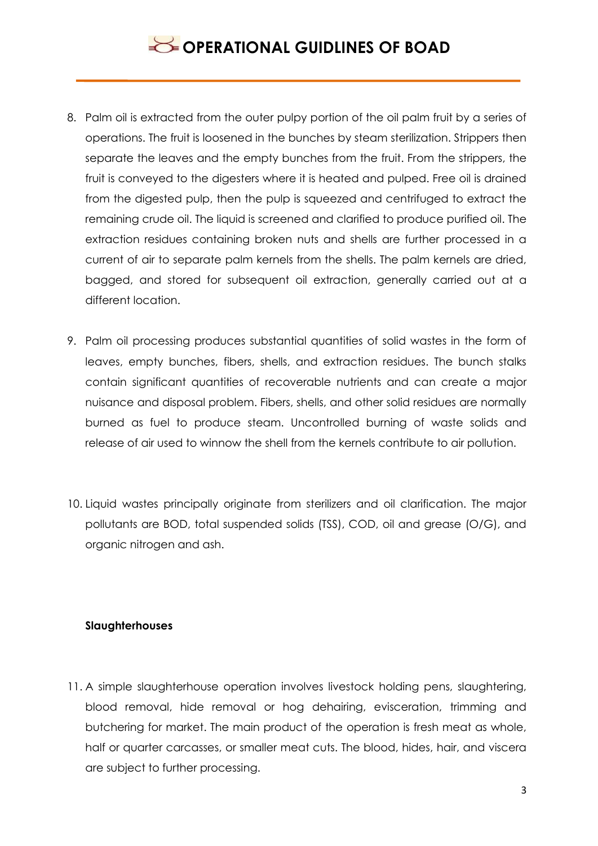- 8. Palm oil is extracted from the outer pulpy portion of the oil palm fruit by a series of operations. The fruit is loosened in the bunches by steam sterilization. Strippers then separate the leaves and the empty bunches from the fruit. From the strippers, the fruit is conveyed to the digesters where it is heated and pulped. Free oil is drained from the digested pulp, then the pulp is squeezed and centrifuged to extract the remaining crude oil. The liquid is screened and clarified to produce purified oil. The extraction residues containing broken nuts and shells are further processed in a current of air to separate palm kernels from the shells. The palm kernels are dried, bagged, and stored for subsequent oil extraction, generally carried out at a different location.
- 9. Palm oil processing produces substantial quantities of solid wastes in the form of leaves, empty bunches, fibers, shells, and extraction residues. The bunch stalks contain significant quantities of recoverable nutrients and can create a major nuisance and disposal problem. Fibers, shells, and other solid residues are normally burned as fuel to produce steam. Uncontrolled burning of waste solids and release of air used to winnow the shell from the kernels contribute to air pollution.
- 10. Liquid wastes principally originate from sterilizers and oil clarification. The major pollutants are BOD, total suspended solids (TSS), COD, oil and grease (O/G), and organic nitrogen and ash.

#### **Slaughterhouses**

11. A simple slaughterhouse operation involves livestock holding pens, slaughtering, blood removal, hide removal or hog dehairing, evisceration, trimming and butchering for market. The main product of the operation is fresh meat as whole, half or quarter carcasses, or smaller meat cuts. The blood, hides, hair, and viscera are subject to further processing.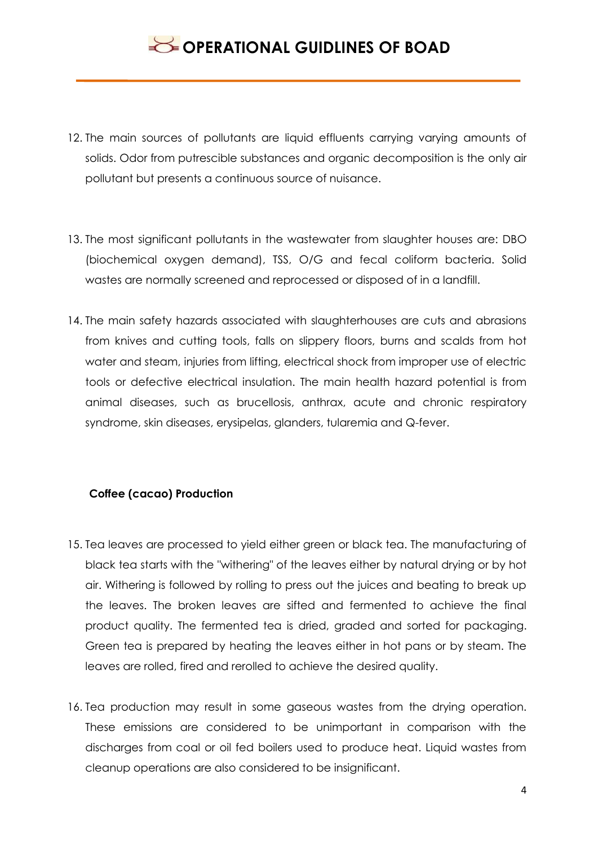- 12. The main sources of pollutants are liquid effluents carrying varying amounts of solids. Odor from putrescible substances and organic decomposition is the only air pollutant but presents a continuous source of nuisance.
- 13. The most significant pollutants in the wastewater from slaughter houses are: DBO (biochemical oxygen demand), TSS, O/G and fecal coliform bacteria. Solid wastes are normally screened and reprocessed or disposed of in a landfill.
- 14. The main safety hazards associated with slaughterhouses are cuts and abrasions from knives and cutting tools, falls on slippery floors, burns and scalds from hot water and steam, injuries from lifting, electrical shock from improper use of electric tools or defective electrical insulation. The main health hazard potential is from animal diseases, such as brucellosis, anthrax, acute and chronic respiratory syndrome, skin diseases, erysipelas, glanders, tularemia and Q-fever.

### **Coffee (cacao) Production**

- 15. Tea leaves are processed to yield either green or black tea. The manufacturing of black tea starts with the "withering" of the leaves either by natural drying or by hot air. Withering is followed by rolling to press out the juices and beating to break up the leaves. The broken leaves are sifted and fermented to achieve the final product quality. The fermented tea is dried, graded and sorted for packaging. Green tea is prepared by heating the leaves either in hot pans or by steam. The leaves are rolled, fired and rerolled to achieve the desired quality.
- 16. Tea production may result in some gaseous wastes from the drying operation. These emissions are considered to be unimportant in comparison with the discharges from coal or oil fed boilers used to produce heat. Liquid wastes from cleanup operations are also considered to be insignificant.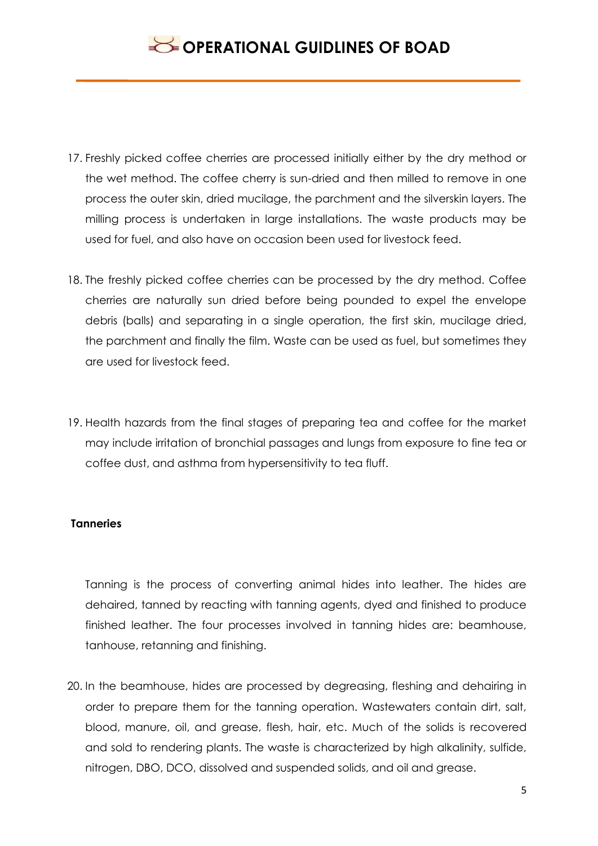- 17. Freshly picked coffee cherries are processed initially either by the dry method or the wet method. The coffee cherry is sun-dried and then milled to remove in one process the outer skin, dried mucilage, the parchment and the silverskin layers. The milling process is undertaken in large installations. The waste products may be used for fuel, and also have on occasion been used for livestock feed.
- 18. The freshly picked coffee cherries can be processed by the dry method. Coffee cherries are naturally sun dried before being pounded to expel the envelope debris (balls) and separating in a single operation, the first skin, mucilage dried, the parchment and finally the film. Waste can be used as fuel, but sometimes they are used for livestock feed.
- 19. Health hazards from the final stages of preparing tea and coffee for the market may include irritation of bronchial passages and lungs from exposure to fine tea or coffee dust, and asthma from hypersensitivity to tea fluff.

### **Tanneries**

Tanning is the process of converting animal hides into leather. The hides are dehaired, tanned by reacting with tanning agents, dyed and finished to produce finished leather. The four processes involved in tanning hides are: beamhouse, tanhouse, retanning and finishing.

20. In the beamhouse, hides are processed by degreasing, fleshing and dehairing in order to prepare them for the tanning operation. Wastewaters contain dirt, salt, blood, manure, oil, and grease, flesh, hair, etc. Much of the solids is recovered and sold to rendering plants. The waste is characterized by high alkalinity, sulfide, nitrogen, DBO, DCO, dissolved and suspended solids, and oil and grease.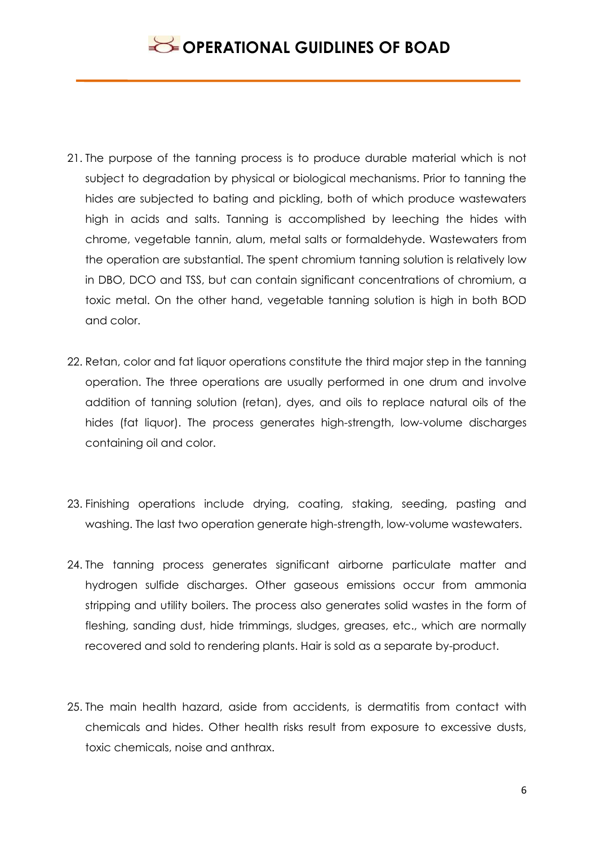- 21. The purpose of the tanning process is to produce durable material which is not subject to degradation by physical or biological mechanisms. Prior to tanning the hides are subjected to bating and pickling, both of which produce wastewaters high in acids and salts. Tanning is accomplished by leeching the hides with chrome, vegetable tannin, alum, metal salts or formaldehyde. Wastewaters from the operation are substantial. The spent chromium tanning solution is relatively low in DBO, DCO and TSS, but can contain significant concentrations of chromium, a toxic metal. On the other hand, vegetable tanning solution is high in both BOD and color.
- 22. Retan, color and fat liquor operations constitute the third major step in the tanning operation. The three operations are usually performed in one drum and involve addition of tanning solution (retan), dyes, and oils to replace natural oils of the hides (fat liquor). The process generates high-strength, low-volume discharges containing oil and color.
- 23. Finishing operations include drying, coating, staking, seeding, pasting and washing. The last two operation generate high-strength, low-volume wastewaters.
- 24. The tanning process generates significant airborne particulate matter and hydrogen sulfide discharges. Other gaseous emissions occur from ammonia stripping and utility boilers. The process also generates solid wastes in the form of fleshing, sanding dust, hide trimmings, sludges, greases, etc., which are normally recovered and sold to rendering plants. Hair is sold as a separate by-product.
- 25. The main health hazard, aside from accidents, is dermatitis from contact with chemicals and hides. Other health risks result from exposure to excessive dusts, toxic chemicals, noise and anthrax.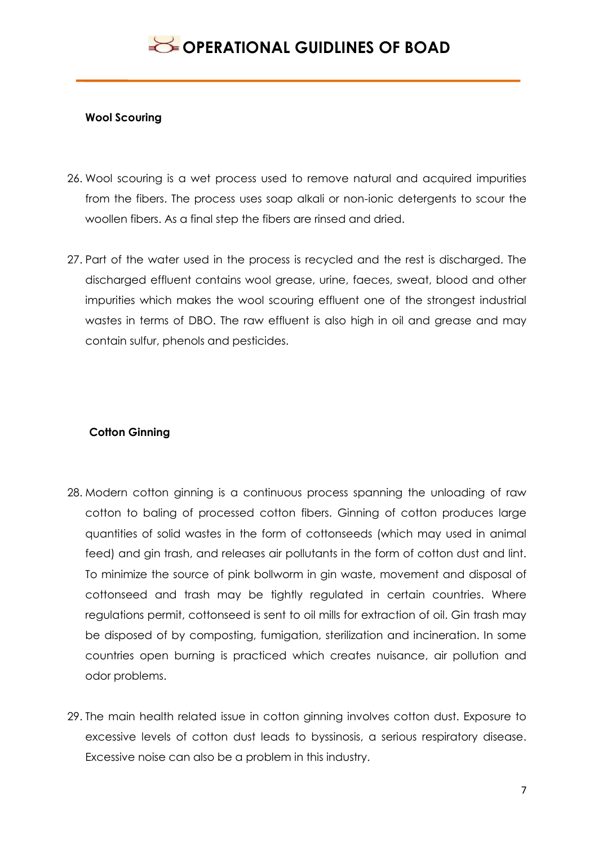#### **Wool Scouring**

- 26. Wool scouring is a wet process used to remove natural and acquired impurities from the fibers. The process uses soap alkali or non-ionic detergents to scour the woollen fibers. As a final step the fibers are rinsed and dried.
- 27. Part of the water used in the process is recycled and the rest is discharged. The discharged effluent contains wool grease, urine, faeces, sweat, blood and other impurities which makes the wool scouring effluent one of the strongest industrial wastes in terms of DBO. The raw effluent is also high in oil and grease and may contain sulfur, phenols and pesticides.

### **Cotton Ginning**

- 28. Modern cotton ginning is a continuous process spanning the unloading of raw cotton to baling of processed cotton fibers. Ginning of cotton produces large quantities of solid wastes in the form of cottonseeds (which may used in animal feed) and gin trash, and releases air pollutants in the form of cotton dust and lint. To minimize the source of pink bollworm in gin waste, movement and disposal of cottonseed and trash may be tightly regulated in certain countries. Where regulations permit, cottonseed is sent to oil mills for extraction of oil. Gin trash may be disposed of by composting, fumigation, sterilization and incineration. In some countries open burning is practiced which creates nuisance, air pollution and odor problems.
- 29. The main health related issue in cotton ginning involves cotton dust. Exposure to excessive levels of cotton dust leads to byssinosis, a serious respiratory disease. Excessive noise can also be a problem in this industry.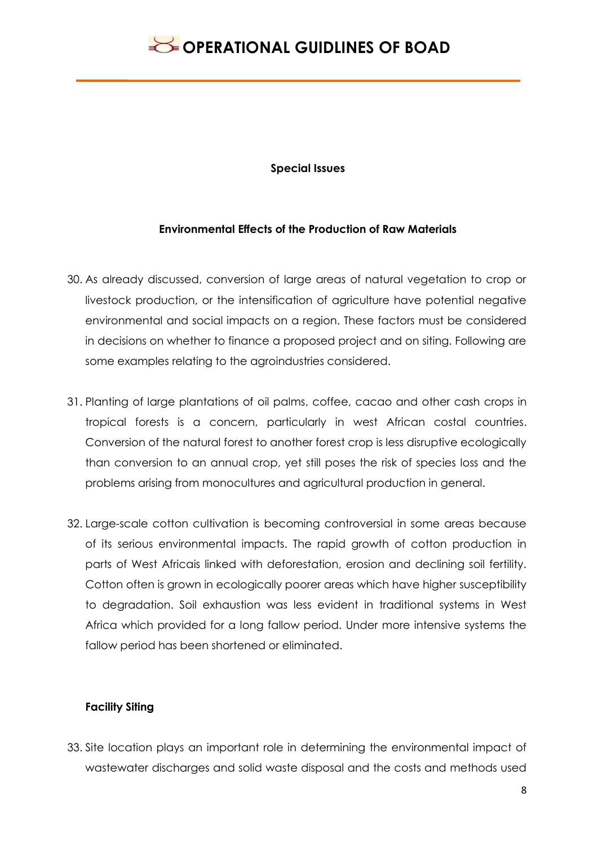#### **Special Issues**

#### **Environmental Effects of the Production of Raw Materials**

- 30. As already discussed, conversion of large areas of natural vegetation to crop or livestock production, or the intensification of agriculture have potential negative environmental and social impacts on a region. These factors must be considered in decisions on whether to finance a proposed project and on siting. Following are some examples relating to the agroindustries considered.
- 31. Planting of large plantations of oil palms, coffee, cacao and other cash crops in tropical forests is a concern, particularly in west African costal countries. Conversion of the natural forest to another forest crop is less disruptive ecologically than conversion to an annual crop, yet still poses the risk of species loss and the problems arising from monocultures and agricultural production in general.
- 32. Large-scale cotton cultivation is becoming controversial in some areas because of its serious environmental impacts. The rapid growth of cotton production in parts of West Africais linked with deforestation, erosion and declining soil fertility. Cotton often is grown in ecologically poorer areas which have higher susceptibility to degradation. Soil exhaustion was less evident in traditional systems in West Africa which provided for a long fallow period. Under more intensive systems the fallow period has been shortened or eliminated.

#### **Facility Siting**

33. Site location plays an important role in determining the environmental impact of wastewater discharges and solid waste disposal and the costs and methods used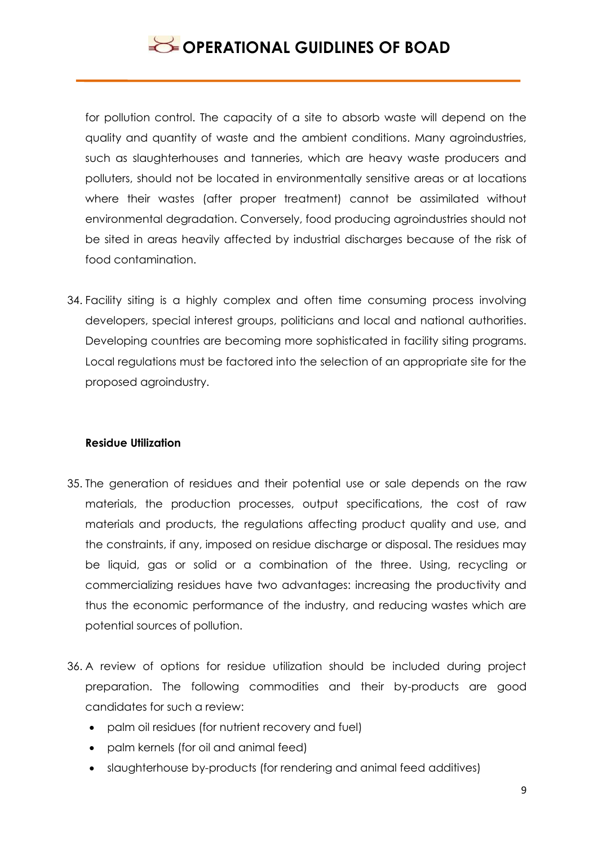for pollution control. The capacity of a site to absorb waste will depend on the quality and quantity of waste and the ambient conditions. Many agroindustries, such as slaughterhouses and tanneries, which are heavy waste producers and polluters, should not be located in environmentally sensitive areas or at locations where their wastes (after proper treatment) cannot be assimilated without environmental degradation. Conversely, food producing agroindustries should not be sited in areas heavily affected by industrial discharges because of the risk of food contamination.

34. Facility siting is a highly complex and often time consuming process involving developers, special interest groups, politicians and local and national authorities. Developing countries are becoming more sophisticated in facility siting programs. Local regulations must be factored into the selection of an appropriate site for the proposed agroindustry.

### **Residue Utilization**

- 35. The generation of residues and their potential use or sale depends on the raw materials, the production processes, output specifications, the cost of raw materials and products, the regulations affecting product quality and use, and the constraints, if any, imposed on residue discharge or disposal. The residues may be liquid, gas or solid or a combination of the three. Using, recycling or commercializing residues have two advantages: increasing the productivity and thus the economic performance of the industry, and reducing wastes which are potential sources of pollution.
- 36. A review of options for residue utilization should be included during project preparation. The following commodities and their by-products are good candidates for such a review:
	- palm oil residues (for nutrient recovery and fuel)
	- palm kernels (for oil and animal feed)
	- slaughterhouse by-products (for rendering and animal feed additives)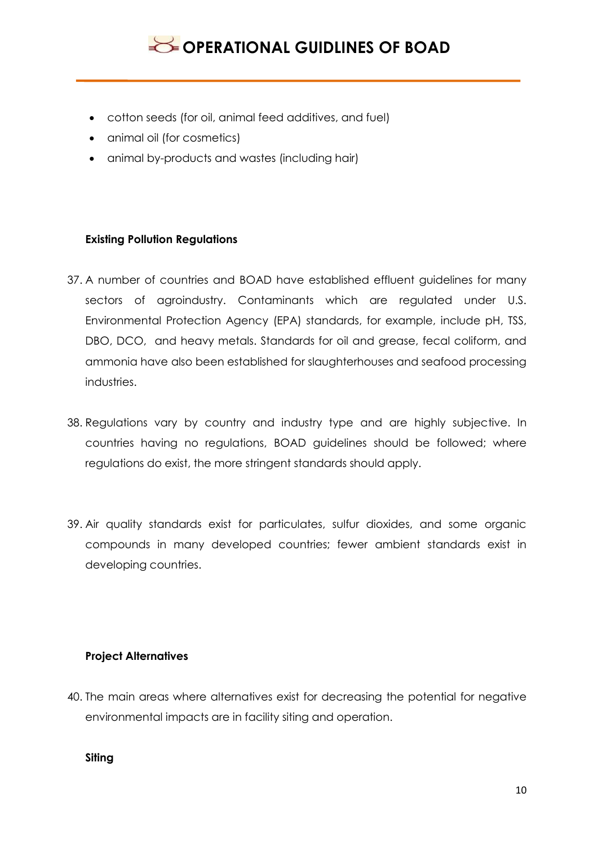- cotton seeds (for oil, animal feed additives, and fuel)
- animal oil (for cosmetics)
- animal by-products and wastes (including hair)

### **Existing Pollution Regulations**

- 37. A number of countries and BOAD have established effluent guidelines for many sectors of agroindustry. Contaminants which are regulated under U.S. Environmental Protection Agency (EPA) standards, for example, include pH, TSS, DBO, DCO, and heavy metals. Standards for oil and grease, fecal coliform, and ammonia have also been established for slaughterhouses and seafood processing industries.
- 38. Regulations vary by country and industry type and are highly subjective. In countries having no regulations, BOAD guidelines should be followed; where regulations do exist, the more stringent standards should apply.
- 39. Air quality standards exist for particulates, sulfur dioxides, and some organic compounds in many developed countries; fewer ambient standards exist in developing countries.

#### **Project Alternatives**

40. The main areas where alternatives exist for decreasing the potential for negative environmental impacts are in facility siting and operation.

**Siting**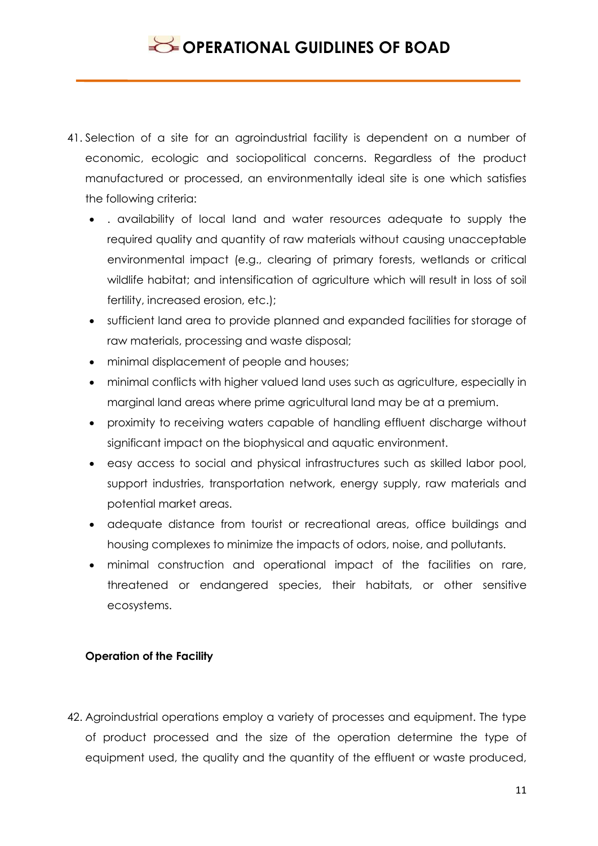- 41. Selection of a site for an agroindustrial facility is dependent on a number of economic, ecologic and sociopolitical concerns. Regardless of the product manufactured or processed, an environmentally ideal site is one which satisfies the following criteria:
	- . availability of local land and water resources adequate to supply the required quality and quantity of raw materials without causing unacceptable environmental impact (e.g., clearing of primary forests, wetlands or critical wildlife habitat; and intensification of agriculture which will result in loss of soil fertility, increased erosion, etc.);
	- sufficient land area to provide planned and expanded facilities for storage of raw materials, processing and waste disposal;
	- minimal displacement of people and houses;
	- minimal conflicts with higher valued land uses such as agriculture, especially in marginal land areas where prime agricultural land may be at a premium.
	- proximity to receiving waters capable of handling effluent discharge without significant impact on the biophysical and aquatic environment.
	- easy access to social and physical infrastructures such as skilled labor pool, support industries, transportation network, energy supply, raw materials and potential market areas.
	- adequate distance from tourist or recreational areas, office buildings and housing complexes to minimize the impacts of odors, noise, and pollutants.
	- minimal construction and operational impact of the facilities on rare, threatened or endangered species, their habitats, or other sensitive ecosystems.

## **Operation of the Facility**

42. Agroindustrial operations employ a variety of processes and equipment. The type of product processed and the size of the operation determine the type of equipment used, the quality and the quantity of the effluent or waste produced,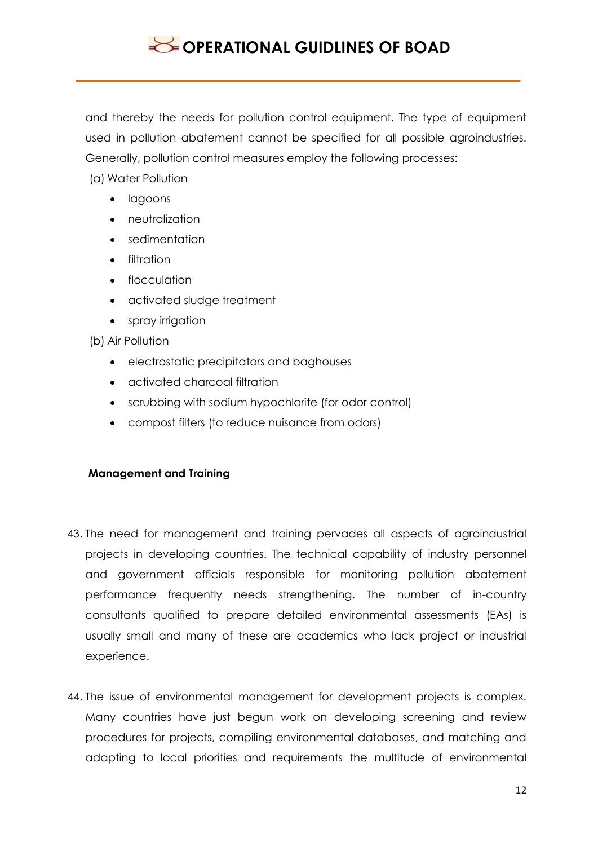and thereby the needs for pollution control equipment. The type of equipment used in pollution abatement cannot be specified for all possible agroindustries. Generally, pollution control measures employ the following processes:

(a) Water Pollution

- **·** lagoons
- **•** neutralization
- sedimentation
- filtration
- flocculation
- activated sludge treatment
- spray irrigation

(b) Air Pollution

- electrostatic precipitators and baghouses
- activated charcoal filtration
- scrubbing with sodium hypochlorite (for odor control)
- compost filters (to reduce nuisance from odors)

### **Management and Training**

- 43. The need for management and training pervades all aspects of agroindustrial projects in developing countries. The technical capability of industry personnel and government officials responsible for monitoring pollution abatement performance frequently needs strengthening. The number of in-country consultants qualified to prepare detailed environmental assessments (EAs) is usually small and many of these are academics who lack project or industrial experience.
- 44. The issue of environmental management for development projects is complex. Many countries have just begun work on developing screening and review procedures for projects, compiling environmental databases, and matching and adapting to local priorities and requirements the multitude of environmental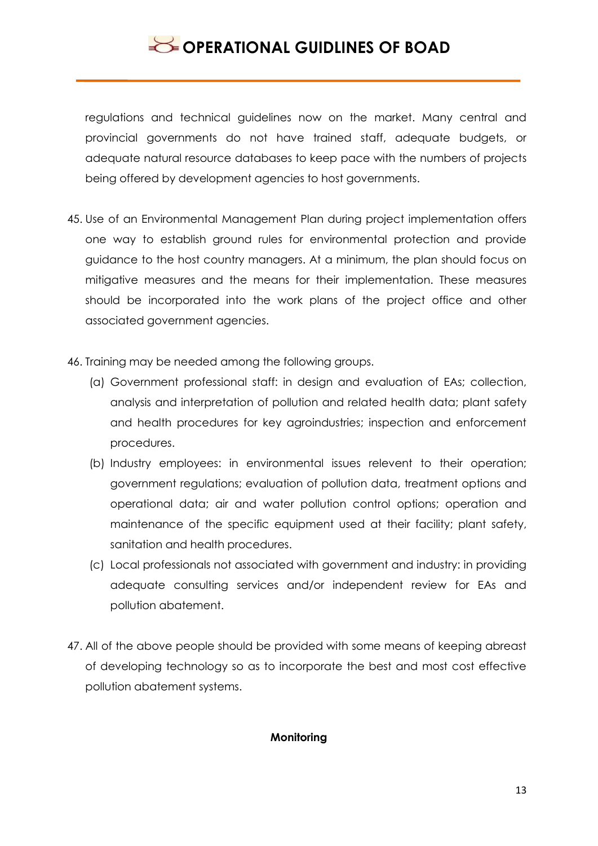regulations and technical guidelines now on the market. Many central and provincial governments do not have trained staff, adequate budgets, or adequate natural resource databases to keep pace with the numbers of projects being offered by development agencies to host governments.

- 45. Use of an Environmental Management Plan during project implementation offers one way to establish ground rules for environmental protection and provide guidance to the host country managers. At a minimum, the plan should focus on mitigative measures and the means for their implementation. These measures should be incorporated into the work plans of the project office and other associated government agencies.
- 46. Training may be needed among the following groups.
	- (a) Government professional staff: in design and evaluation of EAs; collection, analysis and interpretation of pollution and related health data; plant safety and health procedures for key agroindustries; inspection and enforcement procedures.
	- (b) Industry employees: in environmental issues relevent to their operation; government regulations; evaluation of pollution data, treatment options and operational data; air and water pollution control options; operation and maintenance of the specific equipment used at their facility; plant safety, sanitation and health procedures.
	- (c) Local professionals not associated with government and industry: in providing adequate consulting services and/or independent review for EAs and pollution abatement.
- 47. All of the above people should be provided with some means of keeping abreast of developing technology so as to incorporate the best and most cost effective pollution abatement systems.

#### **Monitoring**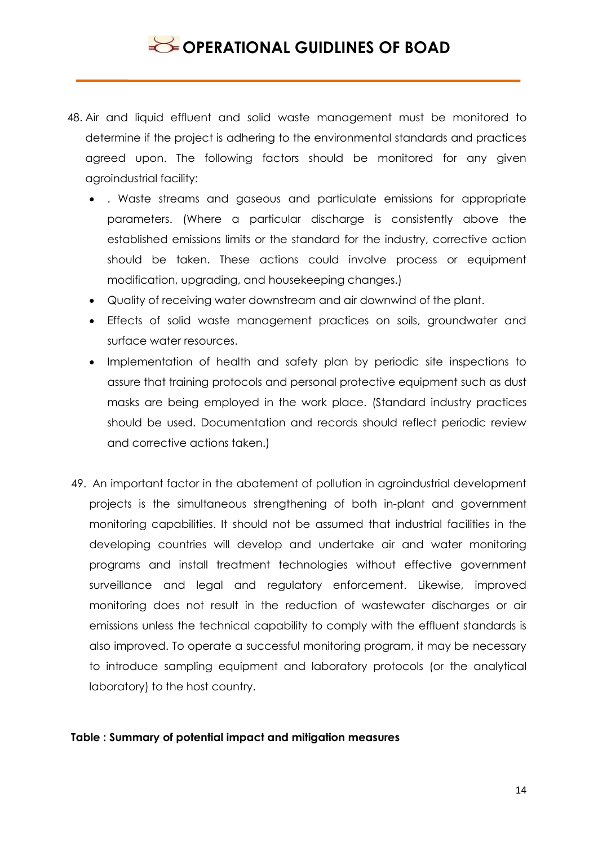- 48. Air and liquid effluent and solid waste management must be monitored to determine if the project is adhering to the environmental standards and practices agreed upon. The following factors should be monitored for any given agroindustrial facility:
	- . Waste streams and gaseous and particulate emissions for appropriate parameters. (Where a particular discharge is consistently above the established emissions limits or the standard for the industry, corrective action should be taken. These actions could involve process or equipment modification, upgrading, and housekeeping changes.)
	- Quality of receiving water downstream and air downwind of the plant.
	- Effects of solid waste management practices on soils, groundwater and surface water resources.
	- Implementation of health and safety plan by periodic site inspections to assure that training protocols and personal protective equipment such as dust masks are being employed in the work place. (Standard industry practices should be used. Documentation and records should reflect periodic review and corrective actions taken.)
- 49. An important factor in the abatement of pollution in agroindustrial development projects is the simultaneous strengthening of both in-plant and government monitoring capabilities. It should not be assumed that industrial facilities in the developing countries will develop and undertake air and water monitoring programs and install treatment technologies without effective government surveillance and legal and regulatory enforcement. Likewise, improved monitoring does not result in the reduction of wastewater discharges or air emissions unless the technical capability to comply with the effluent standards is also improved. To operate a successful monitoring program, it may be necessary to introduce sampling equipment and laboratory protocols (or the analytical laboratory) to the host country.

### **Table : Summary of potential impact and mitigation measures**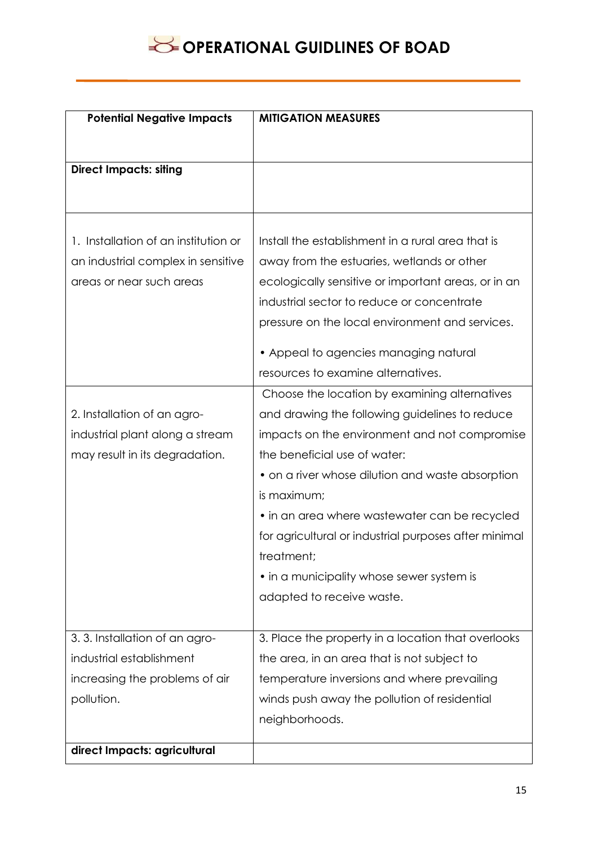| <b>Potential Negative Impacts</b>    | <b>MITIGATION MEASURES</b>                            |
|--------------------------------------|-------------------------------------------------------|
|                                      |                                                       |
|                                      |                                                       |
| <b>Direct Impacts: siting</b>        |                                                       |
|                                      |                                                       |
|                                      |                                                       |
| 1. Installation of an institution or | Install the establishment in a rural area that is     |
| an industrial complex in sensitive   | away from the estuaries, wetlands or other            |
| areas or near such areas             | ecologically sensitive or important areas, or in an   |
|                                      | industrial sector to reduce or concentrate            |
|                                      | pressure on the local environment and services.       |
|                                      | • Appeal to agencies managing natural                 |
|                                      | resources to examine alternatives.                    |
|                                      | Choose the location by examining alternatives         |
| 2. Installation of an agro-          | and drawing the following guidelines to reduce        |
| industrial plant along a stream      | impacts on the environment and not compromise         |
| may result in its degradation.       | the beneficial use of water:                          |
|                                      | • on a river whose dilution and waste absorption      |
|                                      | is maximum;                                           |
|                                      | • in an area where wastewater can be recycled         |
|                                      | for agricultural or industrial purposes after minimal |
|                                      | treatment;                                            |
|                                      | • in a municipality whose sewer system is             |
|                                      | adapted to receive waste.                             |
|                                      |                                                       |
| 3.3. Installation of an agro-        | 3. Place the property in a location that overlooks    |
| industrial establishment             | the area, in an area that is not subject to           |
| increasing the problems of air       | temperature inversions and where prevailing           |
| pollution.                           | winds push away the pollution of residential          |
|                                      | neighborhoods.                                        |
| direct Impacts: agricultural         |                                                       |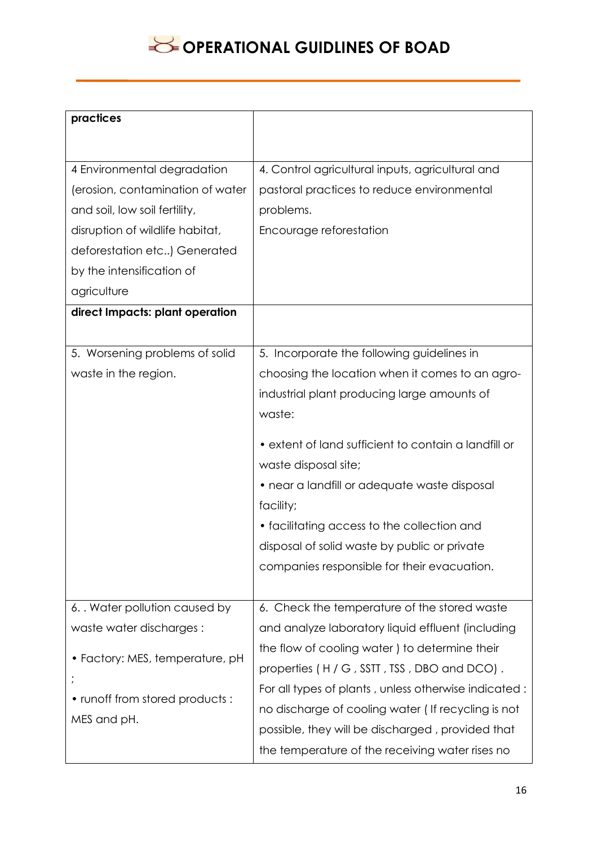| practices                        |                                                      |
|----------------------------------|------------------------------------------------------|
|                                  |                                                      |
| 4 Environmental degradation      | 4. Control agricultural inputs, agricultural and     |
| (erosion, contamination of water | pastoral practices to reduce environmental           |
| and soil, low soil fertility,    | problems.                                            |
| disruption of wildlife habitat,  | Encourage reforestation                              |
| deforestation etc) Generated     |                                                      |
| by the intensification of        |                                                      |
| agriculture                      |                                                      |
| direct Impacts: plant operation  |                                                      |
|                                  |                                                      |
| 5. Worsening problems of solid   | 5. Incorporate the following guidelines in           |
| waste in the region.             | choosing the location when it comes to an agro-      |
|                                  | industrial plant producing large amounts of          |
|                                  | waste:                                               |
|                                  | • extent of land sufficient to contain a landfill or |
|                                  | waste disposal site;                                 |
|                                  | • near a landfill or adequate waste disposal         |
|                                  | facility;                                            |
|                                  | • facilitating access to the collection and          |
|                                  | disposal of solid waste by public or private         |
|                                  | companies responsible for their evacuation.          |
|                                  |                                                      |
| 6. Water pollution caused by     | 6. Check the temperature of the stored waste         |
| waste water discharges:          | and analyze laboratory liquid effluent (including    |
|                                  | the flow of cooling water) to determine their        |
| • Factory: MES, temperature, pH  | properties (H/G, SSTT, TSS, DBO and DCO).            |
|                                  | For all types of plants, unless otherwise indicated: |
| • runoff from stored products:   | no discharge of cooling water (If recycling is not   |
| MES and pH.                      | possible, they will be discharged, provided that     |
|                                  | the temperature of the receiving water rises no      |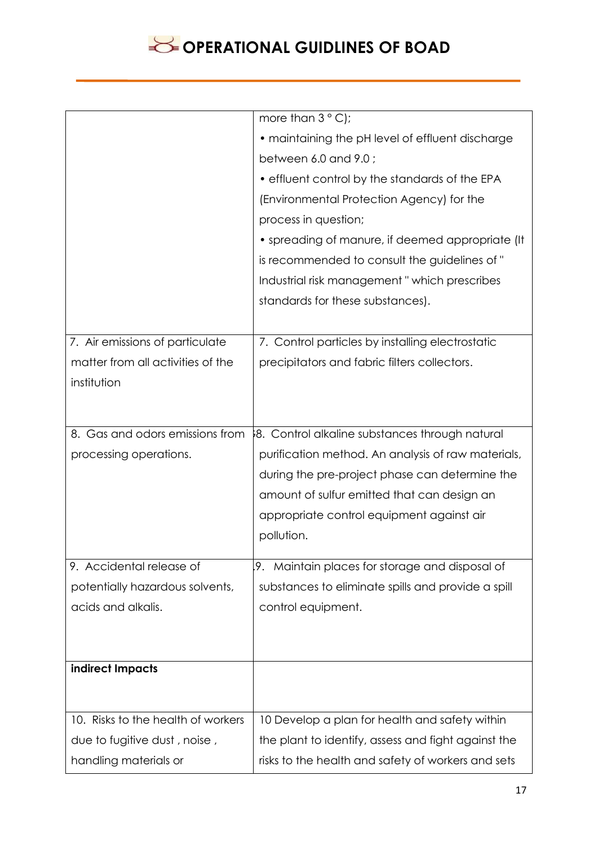|                                    | more than $3^{\circ}$ C);                           |
|------------------------------------|-----------------------------------------------------|
|                                    | • maintaining the pH level of effluent discharge    |
|                                    | between 6.0 and 9.0;                                |
|                                    | • effluent control by the standards of the EPA      |
|                                    | (Environmental Protection Agency) for the           |
|                                    | process in question;                                |
|                                    | • spreading of manure, if deemed appropriate (It    |
|                                    | is recommended to consult the guidelines of "       |
|                                    | Industrial risk management "which prescribes        |
|                                    | standards for these substances).                    |
|                                    |                                                     |
| 7. Air emissions of particulate    | 7. Control particles by installing electrostatic    |
| matter from all activities of the  | precipitators and fabric filters collectors.        |
| institution                        |                                                     |
|                                    |                                                     |
| 8. Gas and odors emissions from    | 8. Control alkaline substances through natural      |
| processing operations.             | purification method. An analysis of raw materials,  |
|                                    | during the pre-project phase can determine the      |
|                                    | amount of sulfur emitted that can design an         |
|                                    | appropriate control equipment against air           |
|                                    | pollution.                                          |
| 9. Accidental release of           | 9. Maintain places for storage and disposal of      |
| potentially hazardous solvents,    | substances to eliminate spills and provide a spill  |
|                                    |                                                     |
| acids and alkalis.                 | control equipment.                                  |
|                                    |                                                     |
| indirect Impacts                   |                                                     |
|                                    |                                                     |
| 10. Risks to the health of workers | 10 Develop a plan for health and safety within      |
| due to fugitive dust, noise,       | the plant to identify, assess and fight against the |
|                                    |                                                     |
| handling materials or              | risks to the health and safety of workers and sets  |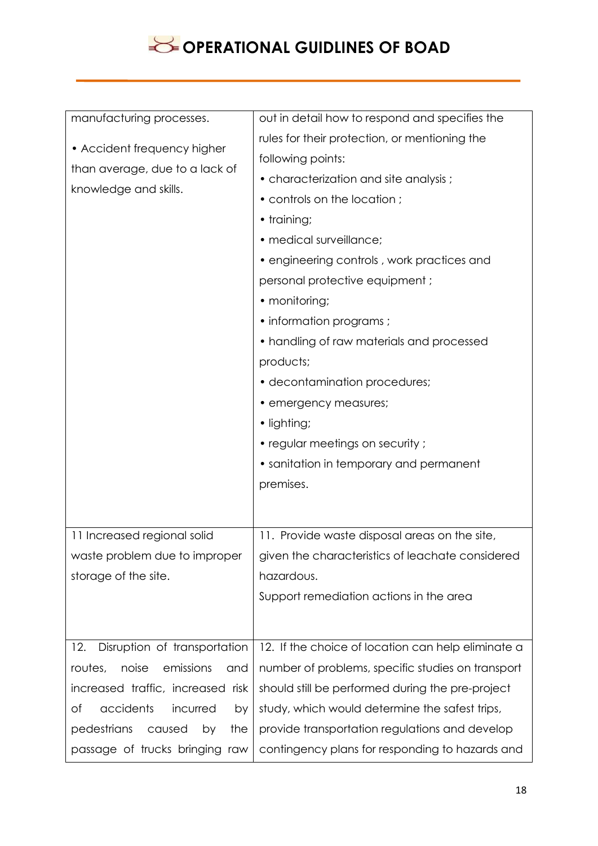| manufacturing processes.                                                               | out in detail how to respond and specifies the     |
|----------------------------------------------------------------------------------------|----------------------------------------------------|
| • Accident frequency higher<br>than average, due to a lack of<br>knowledge and skills. | rules for their protection, or mentioning the      |
|                                                                                        | following points:                                  |
|                                                                                        | • characterization and site analysis;              |
|                                                                                        | • controls on the location;                        |
|                                                                                        | • training;                                        |
|                                                                                        | · medical surveillance;                            |
|                                                                                        | • engineering controls, work practices and         |
|                                                                                        | personal protective equipment;                     |
|                                                                                        | • monitoring;                                      |
|                                                                                        | • information programs ;                           |
|                                                                                        | • handling of raw materials and processed          |
|                                                                                        | products;                                          |
|                                                                                        | • decontamination procedures;                      |
|                                                                                        | • emergency measures;                              |
|                                                                                        | • lighting;                                        |
|                                                                                        | • regular meetings on security ;                   |
|                                                                                        | • sanitation in temporary and permanent            |
|                                                                                        | premises.                                          |
|                                                                                        |                                                    |
| 11 Increased regional solid                                                            | 11. Provide waste disposal areas on the site,      |
| waste problem due to improper                                                          | given the characteristics of leachate considered   |
| storage of the site.                                                                   | hazardous.                                         |
|                                                                                        | Support remediation actions in the area            |
|                                                                                        |                                                    |
| 12.<br>Disruption of transportation                                                    | 12. If the choice of location can help eliminate a |
| noise<br>emissions<br>routes,<br>and                                                   | number of problems, specific studies on transport  |
| increased traffic, increased risk                                                      | should still be performed during the pre-project   |
| accidents<br>of<br>incurred<br>by                                                      | study, which would determine the safest trips,     |
| pedestrians<br>caused<br>the<br>by                                                     | provide transportation regulations and develop     |
| passage of trucks bringing raw                                                         | contingency plans for responding to hazards and    |
|                                                                                        |                                                    |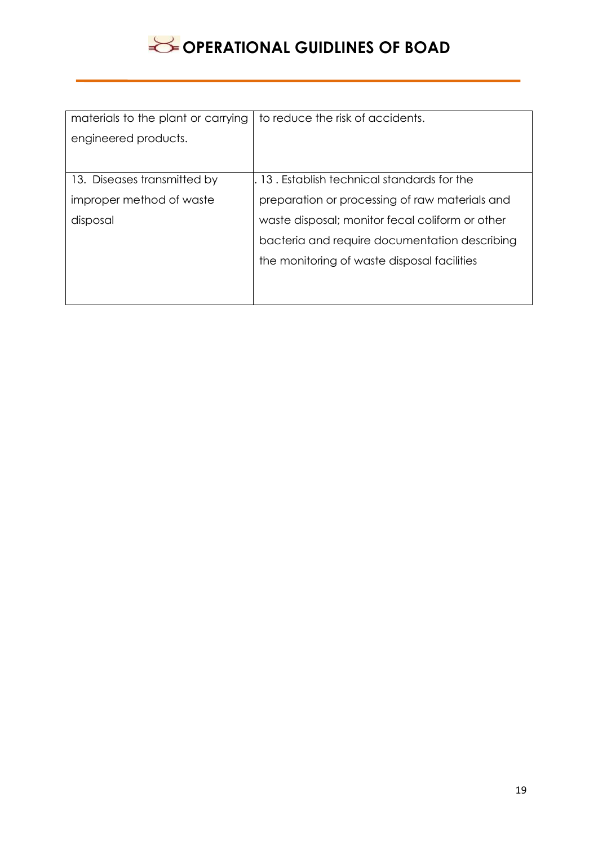| materials to the plant or carrying | to reduce the risk of accidents.                |
|------------------------------------|-------------------------------------------------|
| engineered products.               |                                                 |
|                                    |                                                 |
| 13. Diseases transmitted by        | 13. Establish technical standards for the       |
| improper method of waste           | preparation or processing of raw materials and  |
| disposal                           | waste disposal; monitor fecal coliform or other |
|                                    | bacteria and require documentation describing   |
|                                    | the monitoring of waste disposal facilities     |
|                                    |                                                 |
|                                    |                                                 |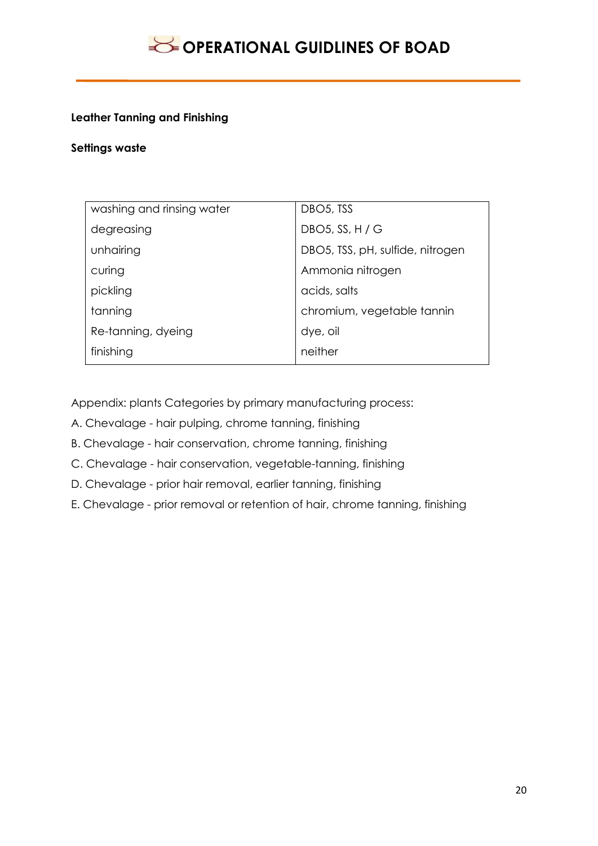### **Leather Tanning and Finishing**

#### **Settings waste**

| washing and rinsing water | DBO <sub>5</sub> , TSS           |
|---------------------------|----------------------------------|
| degreasing                | DBO5, SS, H / G                  |
| unhairing                 | DBO5, TSS, pH, sulfide, nitrogen |
| curing                    | Ammonia nitrogen                 |
| pickling                  | acids, salts                     |
| tanning                   | chromium, vegetable tannin       |
| Re-tanning, dyeing        | dye, oil                         |
| finishing                 | neither                          |

Appendix: plants Categories by primary manufacturing process:

- A. Chevalage hair pulping, chrome tanning, finishing
- B. Chevalage hair conservation, chrome tanning, finishing
- C. Chevalage hair conservation, vegetable-tanning, finishing
- D. Chevalage prior hair removal, earlier tanning, finishing
- E. Chevalage prior removal or retention of hair, chrome tanning, finishing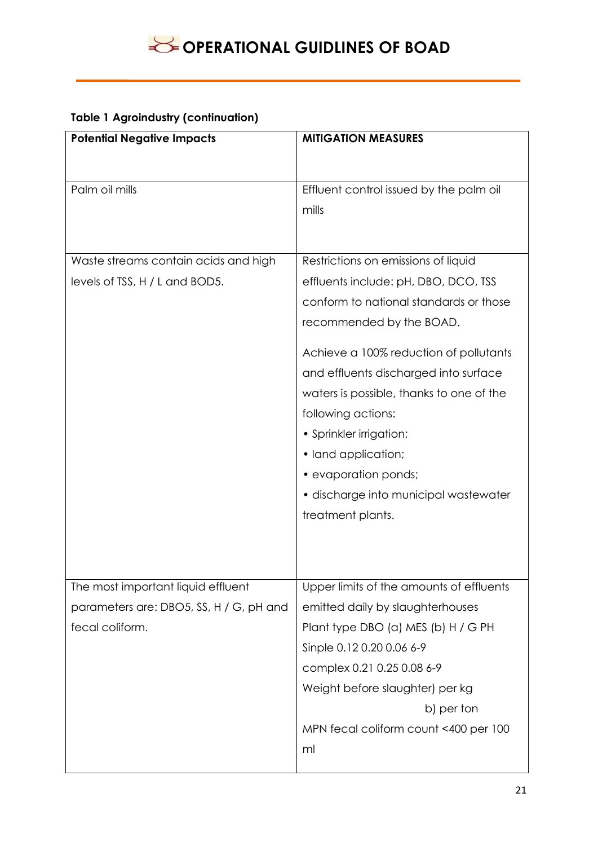## **Table 1 Agroindustry (continuation)**

| <b>Potential Negative Impacts</b>       | <b>MITIGATION MEASURES</b>               |
|-----------------------------------------|------------------------------------------|
|                                         |                                          |
|                                         |                                          |
| Palm oil mills                          | Effluent control issued by the palm oil  |
|                                         | mills                                    |
|                                         |                                          |
| Waste streams contain acids and high    | Restrictions on emissions of liquid      |
| levels of TSS, H / L and BOD5.          | effluents include: pH, DBO, DCO, TSS     |
|                                         | conform to national standards or those   |
|                                         | recommended by the BOAD.                 |
|                                         | Achieve a 100% reduction of pollutants   |
|                                         | and effluents discharged into surface    |
|                                         | waters is possible, thanks to one of the |
|                                         | following actions:                       |
|                                         | • Sprinkler irrigation;                  |
|                                         | • land application;                      |
|                                         | • evaporation ponds;                     |
|                                         | • discharge into municipal wastewater    |
|                                         | treatment plants.                        |
|                                         |                                          |
|                                         |                                          |
| The most important liquid effluent      | Upper limits of the amounts of effluents |
| parameters are: DBO5, SS, H / G, pH and | emitted daily by slaughterhouses         |
| fecal coliform.                         | Plant type DBO (a) MES (b) H / G PH      |
|                                         | Sinple 0.12 0.20 0.06 6-9                |
|                                         | complex 0.21 0.25 0.08 6-9               |
|                                         | Weight before slaughter) per kg          |
|                                         | b) per ton                               |
|                                         | MPN fecal coliform count <400 per 100    |
|                                         | ml                                       |
|                                         |                                          |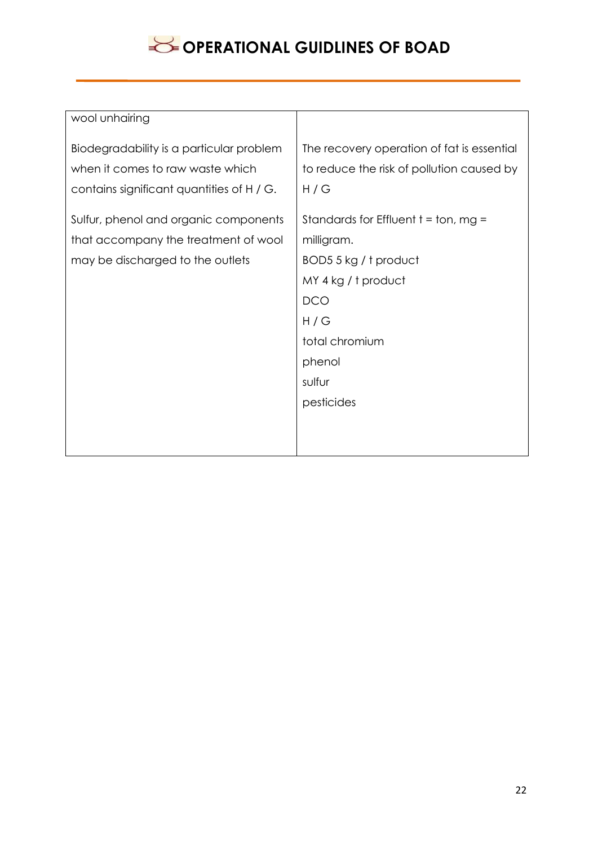| wool unhairing                            |                                            |
|-------------------------------------------|--------------------------------------------|
| Biodegradability is a particular problem  | The recovery operation of fat is essential |
| when it comes to raw waste which          | to reduce the risk of pollution caused by  |
| contains significant quantities of H / G. | H/G                                        |
| Sulfur, phenol and organic components     | Standards for Effluent $t = ton$ , mg =    |
| that accompany the treatment of wool      | milligram.                                 |
| may be discharged to the outlets          | BOD5 5 kg / t product                      |
|                                           | MY 4 kg / t product                        |
|                                           | <b>DCO</b>                                 |
|                                           | H/G                                        |
|                                           | total chromium                             |
|                                           | phenol                                     |
|                                           | sulfur                                     |
|                                           | pesticides                                 |
|                                           |                                            |
|                                           |                                            |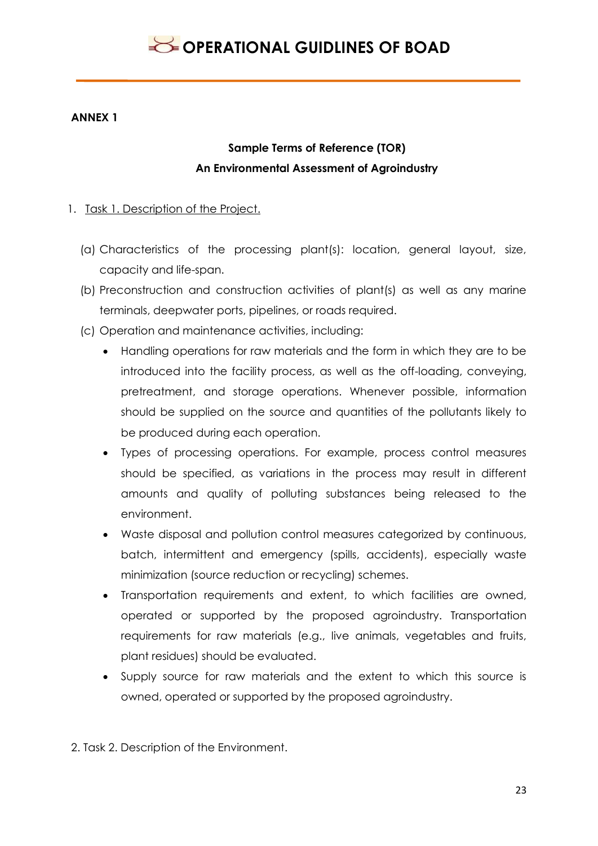### **ANNEX 1**

## **Sample Terms of Reference (TOR) An Environmental Assessment of Agroindustry**

### 1. Task 1. Description of the Project.

- (a) Characteristics of the processing plant(s): location, general layout, size, capacity and life-span.
- (b) Preconstruction and construction activities of plant(s) as well as any marine terminals, deepwater ports, pipelines, or roads required.
- (c) Operation and maintenance activities, including:
	- Handling operations for raw materials and the form in which they are to be introduced into the facility process, as well as the off-loading, conveying, pretreatment, and storage operations. Whenever possible, information should be supplied on the source and quantities of the pollutants likely to be produced during each operation.
	- Types of processing operations. For example, process control measures should be specified, as variations in the process may result in different amounts and quality of polluting substances being released to the environment.
	- Waste disposal and pollution control measures categorized by continuous, batch, intermittent and emergency (spills, accidents), especially waste minimization (source reduction or recycling) schemes.
	- Transportation requirements and extent, to which facilities are owned, operated or supported by the proposed agroindustry. Transportation requirements for raw materials (e.g., live animals, vegetables and fruits, plant residues) should be evaluated.
	- Supply source for raw materials and the extent to which this source is owned, operated or supported by the proposed agroindustry.
- 2. Task 2. Description of the Environment.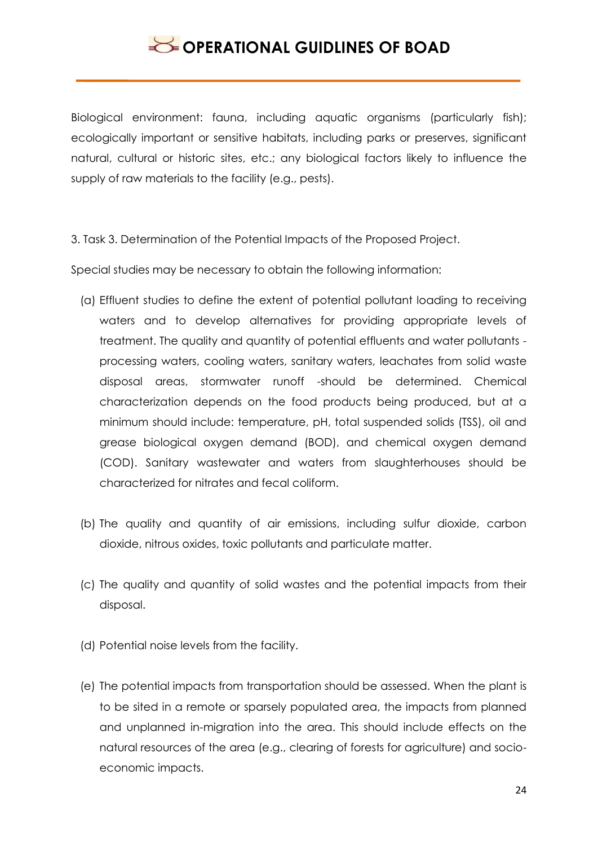Biological environment: fauna, including aquatic organisms (particularly fish); ecologically important or sensitive habitats, including parks or preserves, significant natural, cultural or historic sites, etc.; any biological factors likely to influence the supply of raw materials to the facility (e.g., pests).

3. Task 3. Determination of the Potential Impacts of the Proposed Project.

Special studies may be necessary to obtain the following information:

- (a) Effluent studies to define the extent of potential pollutant loading to receiving waters and to develop alternatives for providing appropriate levels of treatment. The quality and quantity of potential effluents and water pollutants processing waters, cooling waters, sanitary waters, leachates from solid waste disposal areas, stormwater runoff -should be determined. Chemical characterization depends on the food products being produced, but at a minimum should include: temperature, pH, total suspended solids (TSS), oil and grease biological oxygen demand (BOD), and chemical oxygen demand (COD). Sanitary wastewater and waters from slaughterhouses should be characterized for nitrates and fecal coliform.
- (b) The quality and quantity of air emissions, including sulfur dioxide, carbon dioxide, nitrous oxides, toxic pollutants and particulate matter.
- (c) The quality and quantity of solid wastes and the potential impacts from their disposal.
- (d) Potential noise levels from the facility.
- (e) The potential impacts from transportation should be assessed. When the plant is to be sited in a remote or sparsely populated area, the impacts from planned and unplanned in-migration into the area. This should include effects on the natural resources of the area (e.g., clearing of forests for agriculture) and socioeconomic impacts.